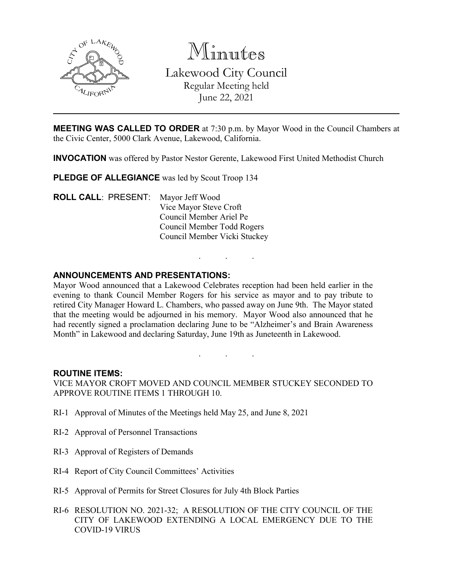

Minutes Lakewood City Council Regular Meeting held June 22, 2021

**MEETING WAS CALLED TO ORDER** at 7:30 p.m. by Mayor Wood in the Council Chambers at the Civic Center, 5000 Clark Avenue, Lakewood, California.

**INVOCATION** was offered by Pastor Nestor Gerente, Lakewood First United Methodist Church

PLEDGE OF ALLEGIANCE was led by Scout Troop 134

**ROLL CALL**: PRESENT: Mayor Jeff Wood Vice Mayor Steve Croft Council Member Ariel Pe Council Member Todd Rogers Council Member Vicki Stuckey

### **ANNOUNCEMENTS AND PRESENTATIONS:**

Mayor Wood announced that a Lakewood Celebrates reception had been held earlier in the evening to thank Council Member Rogers for his service as mayor and to pay tribute to retired City Manager Howard L. Chambers, who passed away on June 9th. The Mayor stated that the meeting would be adjourned in his memory. Mayor Wood also announced that he had recently signed a proclamation declaring June to be "Alzheimer's and Brain Awareness Month" in Lakewood and declaring Saturday, June 19th as Juneteenth in Lakewood.

. . .

#### **ROUTINE ITEMS:**

VICE MAYOR CROFT MOVED AND COUNCIL MEMBER STUCKEY SECONDED TO APPROVE ROUTINE ITEMS 1 THROUGH 10.

. . .

- RI-1 Approval of Minutes of the Meetings held May 25, and June 8, 2021
- RI-2 Approval of Personnel Transactions
- RI-3 Approval of Registers of Demands
- RI-4 Report of City Council Committees' Activities
- RI-5 Approval of Permits for Street Closures for July 4th Block Parties
- RI-6 RESOLUTION NO. 2021-32; A RESOLUTION OF THE CITY COUNCIL OF THE CITY OF LAKEWOOD EXTENDING A LOCAL EMERGENCY DUE TO THE COVID-19 VIRUS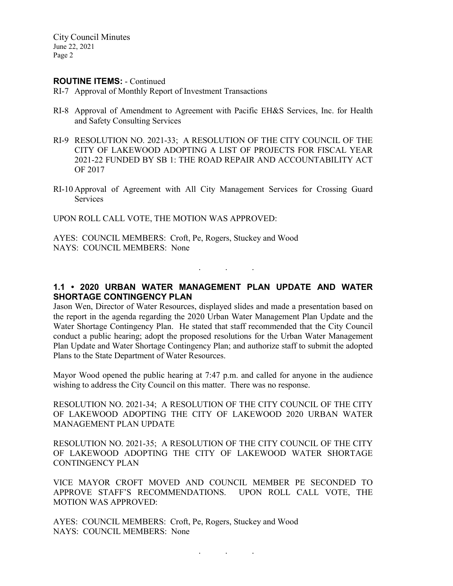City Council Minutes June 22, 2021 Page 2

#### **ROUTINE ITEMS:** - Continued

- RI-7 Approval of Monthly Report of Investment Transactions
- RI-8 Approval of Amendment to Agreement with Pacific EH&S Services, Inc. for Health and Safety Consulting Services
- RI-9 RESOLUTION NO. 2021-33; A RESOLUTION OF THE CITY COUNCIL OF THE CITY OF LAKEWOOD ADOPTING A LIST OF PROJECTS FOR FISCAL YEAR 2021-22 FUNDED BY SB 1: THE ROAD REPAIR AND ACCOUNTABILITY ACT OF 2017
- RI-10 Approval of Agreement with All City Management Services for Crossing Guard Services

UPON ROLL CALL VOTE, THE MOTION WAS APPROVED:

AYES: COUNCIL MEMBERS: Croft, Pe, Rogers, Stuckey and Wood NAYS: COUNCIL MEMBERS: None

# **1.1 • 2020 URBAN WATER MANAGEMENT PLAN UPDATE AND WATER SHORTAGE CONTINGENCY PLAN**

. . .

Jason Wen, Director of Water Resources, displayed slides and made a presentation based on the report in the agenda regarding the 2020 Urban Water Management Plan Update and the Water Shortage Contingency Plan. He stated that staff recommended that the City Council conduct a public hearing; adopt the proposed resolutions for the Urban Water Management Plan Update and Water Shortage Contingency Plan; and authorize staff to submit the adopted Plans to the State Department of Water Resources.

Mayor Wood opened the public hearing at 7:47 p.m. and called for anyone in the audience wishing to address the City Council on this matter. There was no response.

RESOLUTION NO. 2021-34; A RESOLUTION OF THE CITY COUNCIL OF THE CITY OF LAKEWOOD ADOPTING THE CITY OF LAKEWOOD 2020 URBAN WATER MANAGEMENT PLAN UPDATE

RESOLUTION NO. 2021-35; A RESOLUTION OF THE CITY COUNCIL OF THE CITY OF LAKEWOOD ADOPTING THE CITY OF LAKEWOOD WATER SHORTAGE CONTINGENCY PLAN

VICE MAYOR CROFT MOVED AND COUNCIL MEMBER PE SECONDED TO APPROVE STAFF'S RECOMMENDATIONS. UPON ROLL CALL VOTE, THE MOTION WAS APPROVED:

. . .

AYES: COUNCIL MEMBERS: Croft, Pe, Rogers, Stuckey and Wood NAYS: COUNCIL MEMBERS: None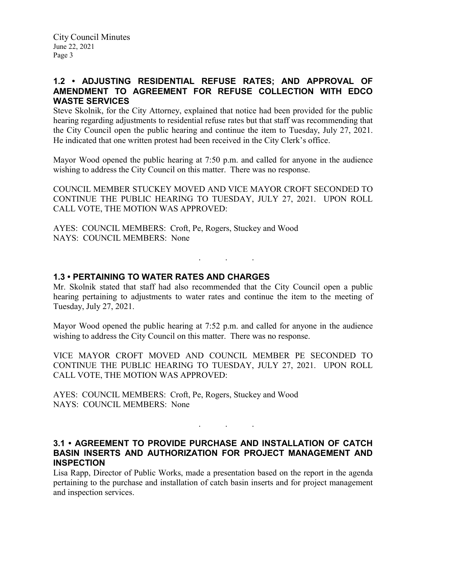## **1.2 • ADJUSTING RESIDENTIAL REFUSE RATES; AND APPROVAL OF AMENDMENT TO AGREEMENT FOR REFUSE COLLECTION WITH EDCO WASTE SERVICES**

Steve Skolnik, for the City Attorney, explained that notice had been provided for the public hearing regarding adjustments to residential refuse rates but that staff was recommending that the City Council open the public hearing and continue the item to Tuesday, July 27, 2021. He indicated that one written protest had been received in the City Clerk's office.

Mayor Wood opened the public hearing at 7:50 p.m. and called for anyone in the audience wishing to address the City Council on this matter. There was no response.

COUNCIL MEMBER STUCKEY MOVED AND VICE MAYOR CROFT SECONDED TO CONTINUE THE PUBLIC HEARING TO TUESDAY, JULY 27, 2021. UPON ROLL CALL VOTE, THE MOTION WAS APPROVED:

AYES: COUNCIL MEMBERS: Croft, Pe, Rogers, Stuckey and Wood NAYS: COUNCIL MEMBERS: None

### **1.3 • PERTAINING TO WATER RATES AND CHARGES**

Mr. Skolnik stated that staff had also recommended that the City Council open a public hearing pertaining to adjustments to water rates and continue the item to the meeting of Tuesday, July 27, 2021.

. . .

Mayor Wood opened the public hearing at 7:52 p.m. and called for anyone in the audience wishing to address the City Council on this matter. There was no response.

VICE MAYOR CROFT MOVED AND COUNCIL MEMBER PE SECONDED TO CONTINUE THE PUBLIC HEARING TO TUESDAY, JULY 27, 2021. UPON ROLL CALL VOTE, THE MOTION WAS APPROVED:

AYES: COUNCIL MEMBERS: Croft, Pe, Rogers, Stuckey and Wood NAYS: COUNCIL MEMBERS: None

## **3.1 • AGREEMENT TO PROVIDE PURCHASE AND INSTALLATION OF CATCH BASIN INSERTS AND AUTHORIZATION FOR PROJECT MANAGEMENT AND INSPECTION**

. . .

Lisa Rapp, Director of Public Works, made a presentation based on the report in the agenda pertaining to the purchase and installation of catch basin inserts and for project management and inspection services.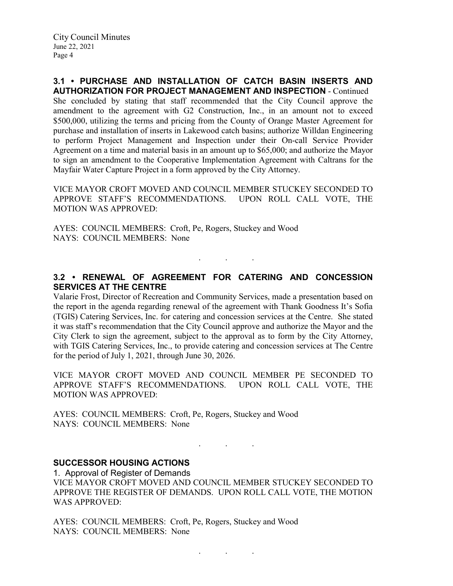City Council Minutes June 22, 2021 Page 4

#### **3.1 • PURCHASE AND INSTALLATION OF CATCH BASIN INSERTS AND AUTHORIZATION FOR PROJECT MANAGEMENT AND INSPECTION** - Continued

She concluded by stating that staff recommended that the City Council approve the amendment to the agreement with G2 Construction, Inc., in an amount not to exceed \$500,000, utilizing the terms and pricing from the County of Orange Master Agreement for purchase and installation of inserts in Lakewood catch basins; authorize Willdan Engineering to perform Project Management and Inspection under their On-call Service Provider Agreement on a time and material basis in an amount up to \$65,000; and authorize the Mayor to sign an amendment to the Cooperative Implementation Agreement with Caltrans for the Mayfair Water Capture Project in a form approved by the City Attorney.

VICE MAYOR CROFT MOVED AND COUNCIL MEMBER STUCKEY SECONDED TO APPROVE STAFF'S RECOMMENDATIONS. UPON ROLL CALL VOTE, THE MOTION WAS APPROVED:

AYES: COUNCIL MEMBERS: Croft, Pe, Rogers, Stuckey and Wood NAYS: COUNCIL MEMBERS: None

## **3.2 • RENEWAL OF AGREEMENT FOR CATERING AND CONCESSION SERVICES AT THE CENTRE**

. . .

Valarie Frost, Director of Recreation and Community Services, made a presentation based on the report in the agenda regarding renewal of the agreement with Thank Goodness It's Sofia (TGIS) Catering Services, Inc. for catering and concession services at the Centre. She stated it was staff's recommendation that the City Council approve and authorize the Mayor and the City Clerk to sign the agreement, subject to the approval as to form by the City Attorney, with TGIS Catering Services, Inc., to provide catering and concession services at The Centre for the period of July 1, 2021, through June 30, 2026.

VICE MAYOR CROFT MOVED AND COUNCIL MEMBER PE SECONDED TO APPROVE STAFF'S RECOMMENDATIONS. UPON ROLL CALL VOTE, THE MOTION WAS APPROVED:

AYES: COUNCIL MEMBERS: Croft, Pe, Rogers, Stuckey and Wood NAYS: COUNCIL MEMBERS: None

### **SUCCESSOR HOUSING ACTIONS**

1. Approval of Register of Demands VICE MAYOR CROFT MOVED AND COUNCIL MEMBER STUCKEY SECONDED TO APPROVE THE REGISTER OF DEMANDS. UPON ROLL CALL VOTE, THE MOTION WAS APPROVED:

. . .

AYES: COUNCIL MEMBERS: Croft, Pe, Rogers, Stuckey and Wood NAYS: COUNCIL MEMBERS: None

. . .